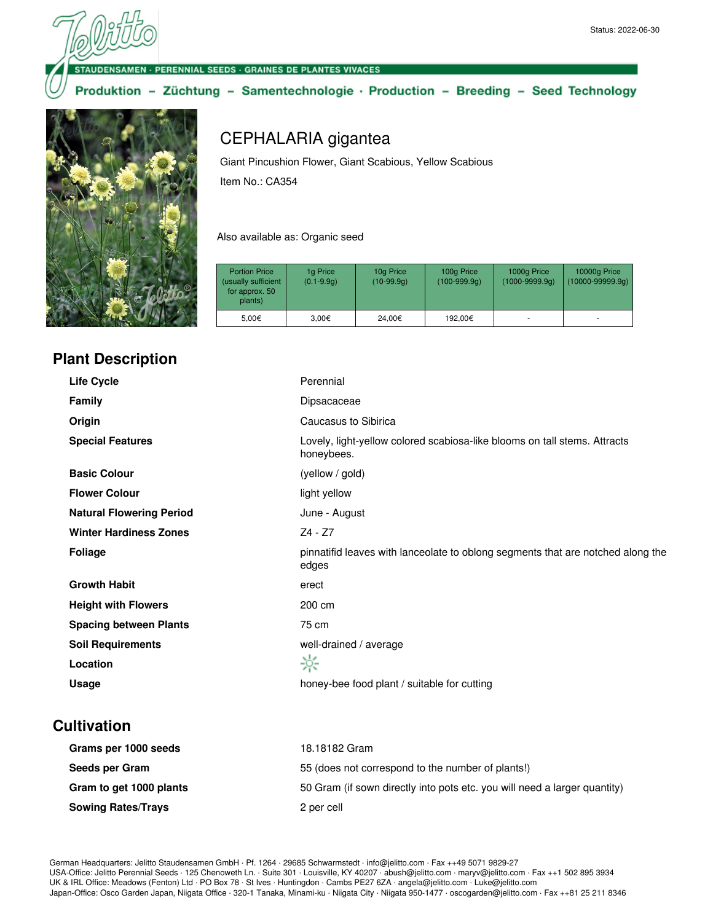ENSAMEN · PERENNIAL SEEDS · GRAINES DE PLANTES VIVACES

#### Produktion - Züchtung - Samentechnologie · Production - Breeding - Seed Technology



## **Plant Description**

# CEPHALARIA gigantea

Giant Pincushion Flower, Giant Scabious, Yellow Scabious Item No.: CA354

Also available as: Organic seed

| <b>Portion Price</b><br>(usually sufficient<br>for approx. 50<br>plants) | 1g Price<br>$(0.1 - 9.9q)$ | 10g Price<br>$(10-99.9q)$ | 100g Price<br>$(100-999.9q)$ | 1000g Price<br>(1000-9999.9g) | 10000g Price<br>$(10000 - 99999.9q)$ |
|--------------------------------------------------------------------------|----------------------------|---------------------------|------------------------------|-------------------------------|--------------------------------------|
| 5.00€                                                                    | 3.00€                      | 24.00€                    | 192.00€                      |                               |                                      |

| <b>Life Cycle</b>               | Perennial                                                                                |
|---------------------------------|------------------------------------------------------------------------------------------|
| <b>Family</b>                   | Dipsacaceae                                                                              |
| Origin                          | Caucasus to Sibirica                                                                     |
| <b>Special Features</b>         | Lovely, light-yellow colored scabiosa-like blooms on tall stems. Attracts<br>honeybees.  |
| <b>Basic Colour</b>             | (yellow / gold)                                                                          |
| <b>Flower Colour</b>            | light yellow                                                                             |
| <b>Natural Flowering Period</b> | June - August                                                                            |
| <b>Winter Hardiness Zones</b>   | $Z4 - Z7$                                                                                |
| <b>Foliage</b>                  | pinnatifid leaves with lanceolate to oblong segments that are notched along the<br>edges |
| <b>Growth Habit</b>             | erect                                                                                    |
| <b>Height with Flowers</b>      | 200 cm                                                                                   |
| <b>Spacing between Plants</b>   | 75 cm                                                                                    |
| <b>Soil Requirements</b>        | well-drained / average                                                                   |
| Location                        | ☆                                                                                        |
| Usage                           | honey-bee food plant / suitable for cutting                                              |

## **Cultivation**

| Grams per 1000 seeds      | 18.18182 Gram                                                             |
|---------------------------|---------------------------------------------------------------------------|
| Seeds per Gram            | 55 (does not correspond to the number of plants!)                         |
| Gram to get 1000 plants   | 50 Gram (if sown directly into pots etc. you will need a larger quantity) |
| <b>Sowing Rates/Trays</b> | 2 per cell                                                                |